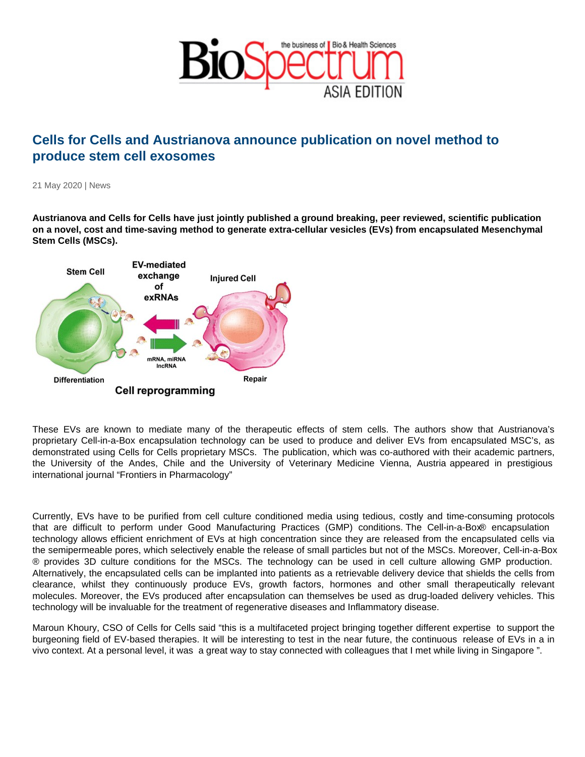## Cells for Cells and Austrianova announce publication on novel method to produce stem cell exosomes

21 May 2020 | News

Austrianova and Cells for Cells have just jointly published a ground breaking, peer reviewed, scientific publication on a novel, cost and time-saving method to generate extra-cellular vesicles (EVs) from encapsulated Mesenchymal Stem Cells (MSCs).

These EVs are known to mediate many of the therapeutic effects of stem cells. The authors show that Austrianova's proprietary Cell-in-a-Box encapsulation technology can be used to produce and deliver EVs from encapsulated MSC's, as demonstrated using Cells for Cells proprietary MSCs. The publication, which was co-authored with their academic partners, the University of the Andes, Chile and the University of Veterinary Medicine Vienna, Austria appeared in prestigious international journal "Frontiers in Pharmacology"

Currently, EVs have to be purified from cell culture conditioned media using tedious, costly and time-consuming protocols that are difficult to perform under Good Manufacturing Practices (GMP) conditions. The Cell-in-a-Box® encapsulation technology allows efficient enrichment of EVs at high concentration since they are released from the encapsulated cells via the semipermeable pores, which selectively enable the release of small particles but not of the MSCs. Moreover, Cell-in-a-Box ® provides 3D culture conditions for the MSCs. The technology can be used in cell culture allowing GMP production. Alternatively, the encapsulated cells can be implanted into patients as a retrievable delivery device that shields the cells from clearance, whilst they continuously produce EVs, growth factors, hormones and other small therapeutically relevant molecules. Moreover, the EVs produced after encapsulation can themselves be used as drug-loaded delivery vehicles. This technology will be invaluable for the treatment of regenerative diseases and Inflammatory disease.

Maroun Khoury, CSO of Cells for Cells said "this is a multifaceted project bringing together different expertise to support the burgeoning field of EV-based therapies. It will be interesting to test in the near future, the continuous release of EVs in a in vivo context. At a personal level, it was a great way to stay connected with colleagues that I met while living in Singapore ".